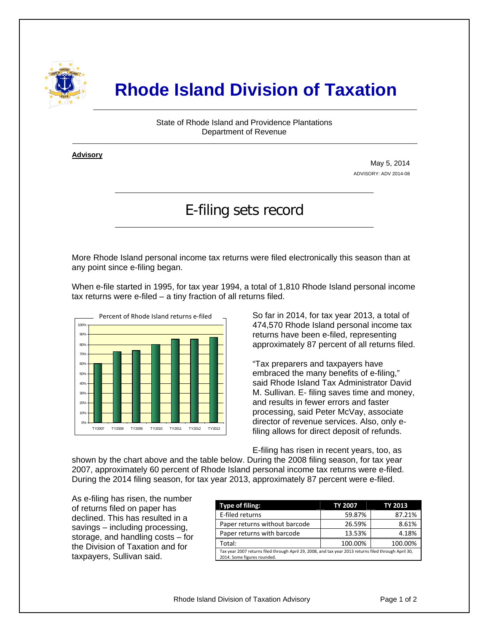

## **Rhode Island Division of Taxation**

State of Rhode Island and Providence Plantations Department of Revenue

**Advisory** ٦

i

May 5, 2014 ADVISORY: ADV 2014-08

## E-filing sets record

More Rhode Island personal income tax returns were filed electronically this season than at any point since e-filing began.

When e-file started in 1995, for tax year 1994, a total of 1,810 Rhode Island personal income tax returns were e-filed – a tiny fraction of all returns filed.



So far in 2014, for tax year 2013, a total of 474,570 Rhode Island personal income tax returns have been e-filed, representing approximately 87 percent of all returns filed.

"Tax preparers and taxpayers have embraced the many benefits of e-filing," said Rhode Island Tax Administrator David M. Sullivan. E- filing saves time and money, and results in fewer errors and faster processing, said Peter McVay, associate director of revenue services. Also, only efiling allows for direct deposit of refunds.

E-filing has risen in recent years, too, as

shown by the chart above and the table below. During the 2008 filing season, for tax year 2007, approximately 60 percent of Rhode Island personal income tax returns were e-filed. During the 2014 filing season, for tax year 2013, approximately 87 percent were e-filed.

As e-filing has risen, the number of returns filed on paper has declined. This has resulted in a savings – including processing, storage, and handling costs – for the Division of Taxation and for taxpayers, Sullivan said.

| Type of filing:                                                                                                                      | TY 2007 | TY 2013 |  |  |
|--------------------------------------------------------------------------------------------------------------------------------------|---------|---------|--|--|
| E-filed returns                                                                                                                      | 59.87%  | 87.21%  |  |  |
| Paper returns without barcode                                                                                                        | 26.59%  | 8.61%   |  |  |
| Paper returns with barcode                                                                                                           | 13.53%  | 4.18%   |  |  |
| Total:                                                                                                                               | 100.00% | 100.00% |  |  |
| Tax year 2007 returns filed through April 29, 2008, and tax year 2013 returns filed through April 30,<br>2014. Some figures rounded. |         |         |  |  |